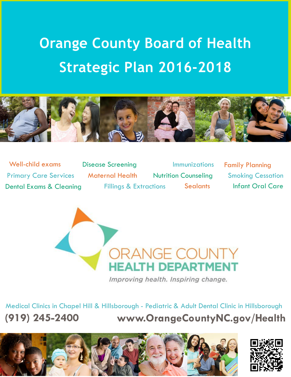# **Orange County Board of Health Strategic Plan 2016-2018**



Well-child exams Disease Screening Immunizations Family Planning Primary Care Services Maternal Health Nutrition Counseling Smoking Cessation Dental Exams & Cleaning Fillings & Extractions Sealants Infant Oral Care



Improving health. Inspiring change.

Medical Clinics in Chapel Hill & Hillsborough - Pediatric & Adult Dental Clinic in Hillsborough **(919) 245-2400 [www.OrangeCountyNC.gov/Health](http://www.orangecountync.gov/Health)**



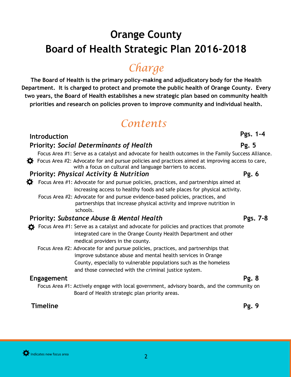## **Orange County Board of Health Strategic Plan 2016-2018**

## *Charge*

**The Board of Health is the primary policy-making and adjudicatory body for the Health Department. It is charged to protect and promote the public health of Orange County. Every two years, the Board of Health establishes a new strategic plan based on community health priorities and research on policies proven to improve community and individual health.**

## *Contents*

#### **Introduction**

#### **Priority: Social Determinants of Health Pg. 5 Pg. 5**

Focus Area #1: Serve as a catalyst and advocate for health outcomes in the Family Success Alliance.  $\mathbf{\ddot{\times}}$  Focus Area #2: Advocate for and pursue policies and practices aimed at improving access to care, with a focus on cultural and language barriers to access.

#### **Priority: Physical Activity & Nutrition Pg.** 6

- $\mathbf{\ddot{R}}$  Focus Area #1: Advocate for and pursue policies, practices, and partnerships aimed at increasing access to healthy foods and safe places for physical activity.
	- Focus Area #2: Advocate for and pursue evidence-based policies, practices, and partnerships that increase physical activity and improve nutrition in schools.

#### **Priority:** *Substance Abuse & Mental Health* **Pgs. 7-8**

- Focus Area  $#1$ : Serve as a catalyst and advocate for policies and practices that promote integrated care in the Orange County Health Department and other medical providers in the county.
	- Focus Area #2: Advocate for and pursue policies, practices, and partnerships that improve substance abuse and mental health services in Orange County, especially to vulnerable populations such as the homeless and those connected with the criminal justice system.

#### **Engagement Pg. 8**

Focus Area #1: Actively engage with local government, advisory boards, and the community on Board of Health strategic plan priority areas.

#### **Timeline Pg. 9**

### **Pgs. 1-4**

2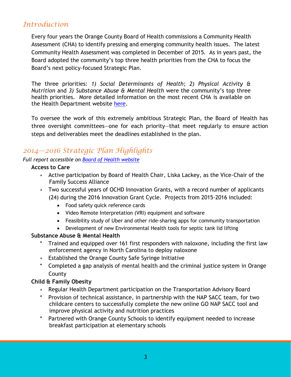### *Introduction*

Every four years the Orange County Board of Health commissions a Community Health Assessment (CHA) to identify pressing and emerging community health issues. The latest Community Health Assessment was completed in December of 2015. As in years past, the Board adopted the community's top three health priorities from the CHA to focus the Board's next policy-focused Strategic Plan.

The three priorities: *1) Social Determinants of Health*; *2) Physical Activity & Nutrition* and *3) Substance Abuse & Mental Health* were the community's top three health priorities. More detailed information on the most recent CHA is available on the Health Department website [here.](http://www.orangecountync.gov/departments/health/publicationsDoc.php)

To oversee the work of this extremely ambitious Strategic Plan, the Board of Health has three oversight committees—one for each priority—that meet regularly to ensure action steps and deliverables meet the deadlines established in the plan.

### *2014—2016 Strategic Plan Highlights*

#### *Full report accessible on Board of [Health website](http://www.orangecountync.gov/departments/health/board_of_health.php)*

#### **Access to Care**

- Active participation by Board of Health Chair, Liska Lackey, as the Vice-Chair of the Family Success Alliance
- Two successful years of OCHD Innovation Grants, with a record number of applicants (24) during the 2016 Innovation Grant Cycle. Projects from 2015-2016 included:
	- Food safety quick reference cards
	- Video Remote Interpretation (VRI) equipment and software
	- Feasibility study of Uber and other ride-sharing apps for community transportation
	- Development of new Environmental Health tools for septic tank lid lifting

#### **Substance Abuse & Mental Health**

- Trained and equipped over 161 first responders with naloxone, including the first law enforcement agency in North Carolina to deploy naloxone
- Established the Orange County Safe Syringe Initiative
- Completed a gap analysis of mental health and the criminal justice system in Orange County

#### **Child & Family Obesity**

- Regular Health Department participation on the Transportation Advisory Board
- Provision of technical assistance, in partnership with the NAP SACC team, for two childcare centers to successfully complete the new online GO NAP SACC tool and improve physical activity and nutrition practices
- \* Partnered with Orange County Schools to identify equipment needed to increase breakfast participation at elementary schools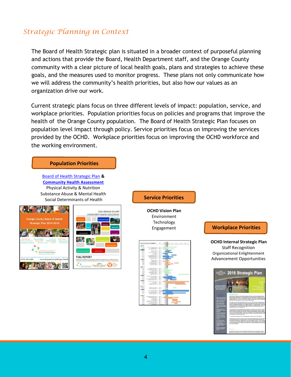#### *Strategic Planning in Context*

The Board of Health Strategic plan is situated in a broader context of purposeful planning and actions that provide the Board, Health Department staff, and the Orange County community with a clear picture of local health goals, plans and strategies to achieve these goals, and the measures used to monitor progress. These plans not only communicate how we will address the community's health priorities, but also how our values as an organization drive our work.

Current strategic plans focus on three different levels of impact: population, service, and workplace priorities. Population priorities focus on policies and programs that improve the health of the Orange County population. The Board of Health Strategic Plan focuses on population level impact through policy. Service priorities focus on improving the services provided by the OCHD. Workplace priorities focus on improving the OCHD workforce and the working environment.

#### **Population Priorities**

[Board of Health Strategic Plan](http://www.orangecountync.gov/departments/health/strategic_plan.php) **& [Community Health Assessment](http://www.orangecountync.gov/departments/health/publicationsDoc.php)** Physical Activity & Nutrition Substance Abuse & Mental Health Social Determinants of Health **Service Priorities**





**OCHD Vision Plan**  Environment Technology



#### Engagement **Workplace Priorities Workplace Priorities**

**OCHD Internal Strategic Plan** Staff Recognition Organizational Enlightenment Advancement Opportunities

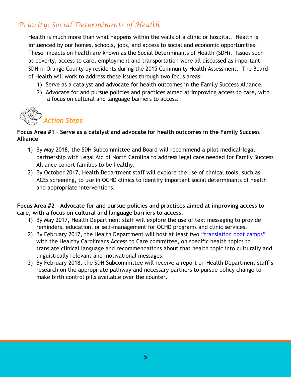### *Priority: Social Determinants of Health*

Health is much more than what happens within the walls of a clinic or hospital. Health is influenced by our homes, schools, jobs, and access to social and economic opportunities. These impacts on health are known as the Social Determinants of Health (SDH). Issues such as poverty, access to care, employment and transportation were all discussed as important SDH in Orange County by residents during the 2015 Community Health Assessment. The Board of Health will work to address these issues through two focus areas:

- 1) Serve as a catalyst and advocate for health outcomes in the Family Success Alliance.
- 2) Advocate for and pursue policies and practices aimed at improving access to care, with a focus on cultural and language barriers to access.



#### **Focus Area #1** – **Serve as a catalyst and advocate for health outcomes in the Family Success Alliance**

- 1) By May 2018, the SDH Subcommittee and Board will recommend a pilot medical-legal partnership with Legal Aid of North Carolina to address legal care needed for Family Success Alliance cohort families to be healthy.
- 2) By October 2017, Health Department staff will explore the use of clinical tools, such as ACEs screening, to use in OCHD clinics to identify important social determinants of health and appropriate interventions.

#### **Focus Area #2 – Advocate for and pursue policies and practices aimed at improving access to care, with a focus on cultural and language barriers to access.**

- 1) By May 2017, Health Department staff will explore the use of text messaging to provide reminders, education, or self-management for OCHD programs and clinic services.
- 2) By February 2017, the Health Department will host at least two ["translation boot camps"](https://www.statnews.com/2016/04/13/patient-doctor-medical-advice/?utm_content=buffera359f&utm_medium=social&utm_source=twitter.com&utm_campaign=buffer) with the Healthy Carolinians Access to Care committee, on specific health topics to translate clinical language and recommendations about that health topic into culturally and linguistically relevant and motivational messages.
- 3) By February 2018, the SDH Subcommittee will receive a report on Health Department staff's research on the appropriate pathway and necessary partners to pursue policy change to make birth control pills available over the counter.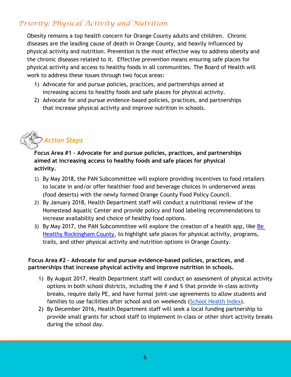### *Priority: Physical Activity and Nutrition*

Obesity remains a top health concern for Orange County adults and children. Chronic diseases are the leading cause of death in Orange County, and heavily influenced by physical activity and nutrition. Prevention is the most effective way to address obesity and the chronic diseases related to it. Effective prevention means ensuring safe places for physical activity and access to healthy foods in all communities. The Board of Health will work to address these issues through two focus areas:

- 1) Advocate for and pursue policies, practices, and partnerships aimed at increasing access to healthy foods and safe places for physical activity.
- 2) Advocate for and pursue evidence-based policies, practices, and partnerships that increase physical activity and improve nutrition in schools.

# *Action Steps*

**Focus Area #1 – Advocate for and pursue policies, practices, and partnerships aimed at increasing access to healthy foods and safe places for physical activity.**

- 1) By May 2018, the PAN Subcommittee will explore providing incentives to food retailers to locate in and/or offer healthier food and beverage choices in underserved areas (food deserts) with the newly formed Orange County Food Policy Council.
- 2) By January 2018, Health Department staff will conduct a nutritional review of the Homestead Aquatic Center and provide policy and food labeling recommendations to increase availability and choice of healthy food options.
- 3) By May 2017, the PAN Subcommittee will explore the creation of a health app, like Be [Healthy Rockingham County,](http://www.behealthyrockinghamconc.org/) to highlight safe places for physical activity, programs, trails, and other physical activity and nutrition options in Orange County.

#### **Focus Area #2 – Advocate for and pursue evidence-based policies, practices, and partnerships that increase physical activity and improve nutrition in schools.**

- 1) By August 2017, Health Department staff will conduct an assessment of physical activity options in both school districts, including the  $#$  and  $%$  that provide in-class activity breaks, require daily PE, and have formal joint-use agreements to allow students and families to use facilities after school and on weekends [\(School Health Index\)](http://www.cdc.gov/healthyschools/shi/index.htm).
- 2) By December 2016, Health Department staff will seek a local funding partnership to provide small grants for school staff to implement in-class or other short activity breaks during the school day.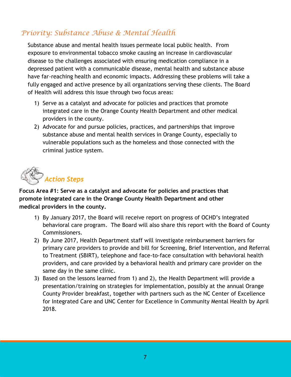### *Priority: Substance Abuse & Mental Health*

Substance abuse and mental health issues permeate local public health. From exposure to environmental tobacco smoke causing an increase in cardiovascular disease to the challenges associated with ensuring medication compliance in a depressed patient with a communicable disease, mental health and substance abuse have far-reaching health and economic impacts. Addressing these problems will take a fully engaged and active presence by all organizations serving these clients. The Board of Health will address this issue through two focus areas:

- 1) Serve as a catalyst and advocate for policies and practices that promote integrated care in the Orange County Health Department and other medical providers in the county.
- 2) Advocate for and pursue policies, practices, and partnerships that improve substance abuse and mental health services in Orange County, especially to vulnerable populations such as the homeless and those connected with the criminal justice system.



**Focus Area #1: Serve as a catalyst and advocate for policies and practices that promote integrated care in the Orange County Health Department and other medical providers in the county.**

- 1) By January 2017, the Board will receive report on progress of OCHD's integrated behavioral care program. The Board will also share this report with the Board of County Commissioners.
- 2) By June 2017, Health Department staff will investigate reimbursement barriers for primary care providers to provide and bill for Screening, Brief Intervention, and Referral to Treatment (SBIRT), telephone and face-to-face consultation with behavioral health providers, and care provided by a behavioral health and primary care provider on the same day in the same clinic.
- 3) Based on the lessons learned from 1) and 2), the Health Department will provide a presentation/training on strategies for implementation, possibly at the annual Orange County Provider breakfast, together with partners such as the NC Center of Excellence for Integrated Care and UNC Center for Excellence in Community Mental Health by April 2018.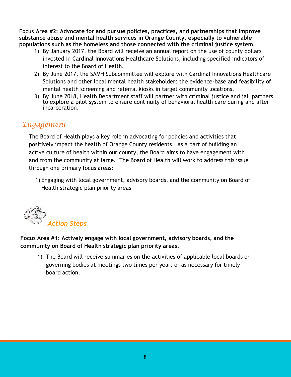**Focus Area #2: Advocate for and pursue policies, practices, and partnerships that improve substance abuse and mental health services in Orange County, especially to vulnerable populations such as the homeless and those connected with the criminal justice system.** 

- 1) By January 2017, the Board will receive an annual report on the use of county dollars invested in Cardinal Innovations Healthcare Solutions, including specified indicators of interest to the Board of Health.
- 2) By June 2017, the SAMH Subcommittee will explore with Cardinal Innovations Healthcare Solutions and other local mental health stakeholders the evidence-base and feasibility of mental health screening and referral kiosks in target community locations.
- 3) By June 2018, Health Department staff will partner with criminal justice and jail partners to explore a pilot system to ensure continuity of behavioral health care during and after incarceration.

#### *Engagement*

The Board of Health plays a key role in advocating for policies and activities that positively impact the health of Orange County residents. As a part of building an active culture of health within our county, the Board aims to have engagement with and from the community at large. The Board of Health will work to address this issue through one primary focus areas:

1) Engaging with local government, advisory boards, and the community on Board of Health strategic plan priority areas



**Focus Area #1: Actively engage with local government, advisory boards, and the community on Board of Health strategic plan priority areas.**

1) The Board will receive summaries on the activities of applicable local boards or governing bodies at meetings two times per year, or as necessary for timely board action.